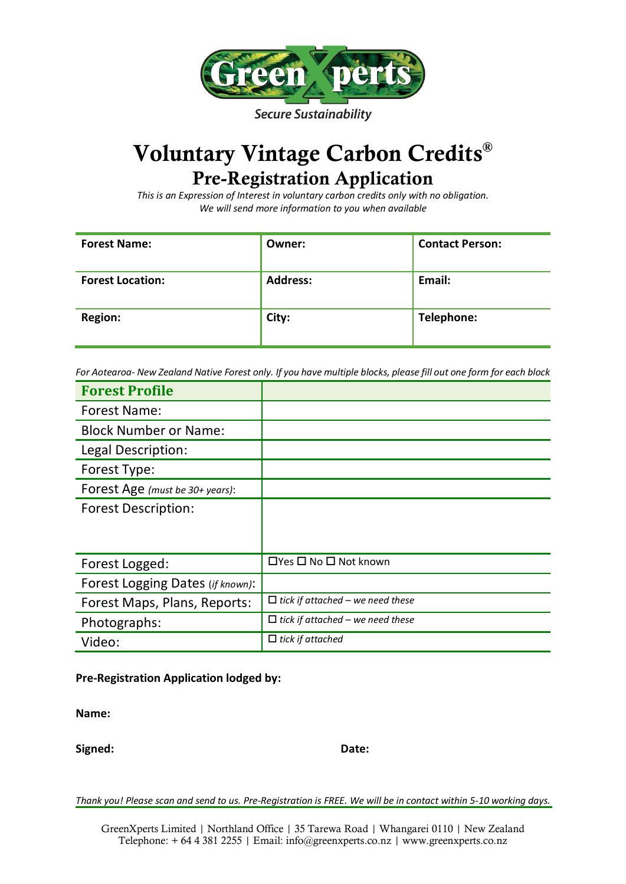

## Voluntary Vintage Carbon Credits ® Pre-Registration Application

*This is an Expression of Interest in voluntary carbon credits only with no obligation. We will send more information to you when available*

| <b>Forest Name:</b>     | Owner:          | <b>Contact Person:</b> |
|-------------------------|-----------------|------------------------|
| <b>Forest Location:</b> | <b>Address:</b> | Email:                 |
| <b>Region:</b>          | City:           | Telephone:             |

*For Aotearoa- New Zealand Native Forest only. If you have multiple blocks, please fill out one form for each block* 

| <b>Forest Profile</b>            |                                         |
|----------------------------------|-----------------------------------------|
| <b>Forest Name:</b>              |                                         |
| <b>Block Number or Name:</b>     |                                         |
| Legal Description:               |                                         |
| Forest Type:                     |                                         |
| Forest Age (must be 30+ years):  |                                         |
| <b>Forest Description:</b>       |                                         |
|                                  |                                         |
|                                  |                                         |
| Forest Logged:                   | □Yes □ No □ Not known                   |
| Forest Logging Dates (if known): |                                         |
| Forest Maps, Plans, Reports:     | $\Box$ tick if attached – we need these |
| Photographs:                     | $\Box$ tick if attached – we need these |
| Video:                           | $\Box$ tick if attached                 |

## **Pre-Registration Application lodged by:**

**Name:** 

**Signed: Date:**

*Thank you! Please scan and send to us. Pre-Registration is FREE. We will be in contact within 5-10 working days.*

GreenXperts Limited | Northland Office | 35 Tarewa Road | Whangarei 0110 | New Zealand Telephone: + 64 4 381 2255 | Email: [info@greenxperts.co.nz](mailto:info@greenxperts.co.nz) | www.greenxperts.co.nz